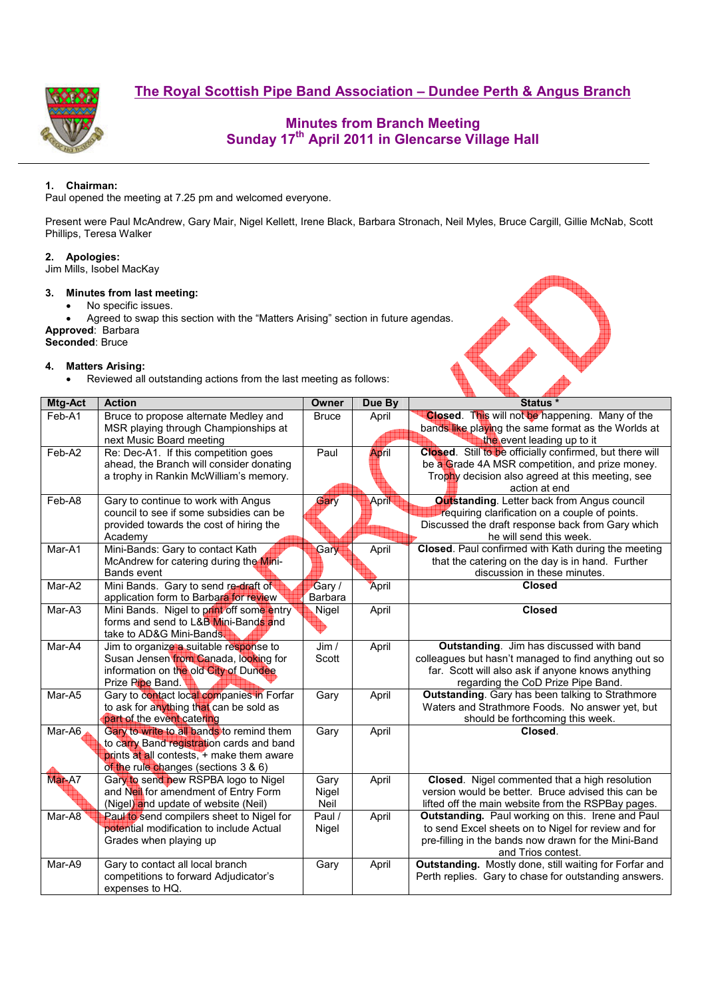**The Royal Scottish Pipe Band Association – Dundee Perth & Angus Branch**



# **Minutes from Branch Meeting Sunday 17th April 2011 in Glencarse Village Hall**

2 No

### **1. Chairman:**

Paul opened the meeting at 7.25 pm and welcomed everyone.

Present were Paul McAndrew, Gary Mair, Nigel Kellett, Irene Black, Barbara Stronach, Neil Myles, Bruce Cargill, Gillie McNab, Scott Phillips, Teresa Walker

#### **2. Apologies:**

Jim Mills, Isobel MacKay

### **3. Minutes from last meeting:**

- No specific issues.
- Agreed to swap this section with the "Matters Arising" section in future agendas. **Approved**: Barbara

**Seconded**: Bruce

#### **4. Matters Arising:**

• Reviewed all outstanding actions from the last meeting as follows:

| Mtg-Act | <b>Action</b>                             | Owner        | Due By | Status *                                                 |
|---------|-------------------------------------------|--------------|--------|----------------------------------------------------------|
| Feb-A1  | Bruce to propose alternate Medley and     | <b>Bruce</b> | April  | Closed. This will not be happening. Many of the          |
|         | MSR playing through Championships at      |              |        | bands like playing the same format as the Worlds at      |
|         | next Music Board meeting                  |              |        | the event leading up to it                               |
| Feb-A2  | Re: Dec-A1. If this competition goes      | Paul         | April  | Closed. Still to be officially confirmed, but there will |
|         | ahead, the Branch will consider donating  |              |        | be a Grade 4A MSR competition, and prize money.          |
|         | a trophy in Rankin McWilliam's memory.    |              |        | Trophy decision also agreed at this meeting, see         |
|         |                                           |              |        | action at end                                            |
| Feb-A8  | Gary to continue to work with Angus       | Gary         | April  | <b>Outstanding.</b> Letter back from Angus council       |
|         | council to see if some subsidies can be   |              |        | requiring clarification on a couple of points.           |
|         | provided towards the cost of hiring the   |              |        | Discussed the draft response back from Gary which        |
|         | Academy                                   |              |        | he will send this week.                                  |
| Mar-A1  | Mini-Bands: Gary to contact Kath          | Gary         | April  | Closed. Paul confirmed with Kath during the meeting      |
|         | McAndrew for catering during the Mini-    |              |        | that the catering on the day is in hand. Further         |
|         | <b>Bands event</b>                        |              |        | discussion in these minutes.                             |
| Mar-A2  | Mini Bands. Gary to send re-draft of      | Gary /       | April  | <b>Closed</b>                                            |
|         | application form to Barbara for review    | Barbara      |        |                                                          |
| Mar-A3  | Mini Bands. Nigel to print off some entry | Nigel        | April  | <b>Closed</b>                                            |
|         | forms and send to L&B Mini-Bands and      |              |        |                                                          |
|         | take to AD&G Mini-Bands.                  |              |        |                                                          |
| Mar-A4  | Jim to organize a suitable response to    | Jim /        | April  | Outstanding. Jim has discussed with band                 |
|         | Susan Jensen from Canada, looking for     | Scott        |        | colleagues but hasn't managed to find anything out so    |
|         | information on the old City of Dundee     |              |        | far. Scott will also ask if anyone knows anything        |
|         | Prize Ripe Band.                          |              |        | regarding the CoD Prize Pipe Band.                       |
| Mar-A5  | Gary to contact local companies in Forfar | Gary         | April  | <b>Outstanding.</b> Gary has been talking to Strathmore  |
|         | to ask for anything that can be sold as   |              |        | Waters and Strathmore Foods. No answer yet, but          |
|         | part of the event catering                |              |        | should be forthcoming this week.                         |
| Mar-A6  | Gary to write to all bands to remind them | Gary         | April  | Closed.                                                  |
|         | to carry Band registration cards and band |              |        |                                                          |
|         | prints at all contests, + make them aware |              |        |                                                          |
|         | of the rule changes (sections 3 & 6)      |              |        |                                                          |
| Mar-A7  | Gary to send new RSPBA logo to Nigel      | Gary         | April  | Closed. Nigel commented that a high resolution           |
|         | and Neil for amendment of Entry Form      | Nigel        |        | version would be better. Bruce advised this can be       |
|         | (Nigel) and update of website (Neil)      | Neil         |        | lifted off the main website from the RSPBay pages.       |
| Mar-A8  | Paul to send compilers sheet to Nigel for | Paul /       | April  | Outstanding. Paul working on this. Irene and Paul        |
|         | potential modification to include Actual  | Nigel        |        | to send Excel sheets on to Nigel for review and for      |
|         | Grades when playing up                    |              |        | pre-filling in the bands now drawn for the Mini-Band     |
|         |                                           |              |        | and Trios contest.                                       |
| Mar-A9  | Gary to contact all local branch          | Gary         | April  | Outstanding. Mostly done, still waiting for Forfar and   |
|         | competitions to forward Adjudicator's     |              |        | Perth replies. Gary to chase for outstanding answers.    |
|         | expenses to HQ.                           |              |        |                                                          |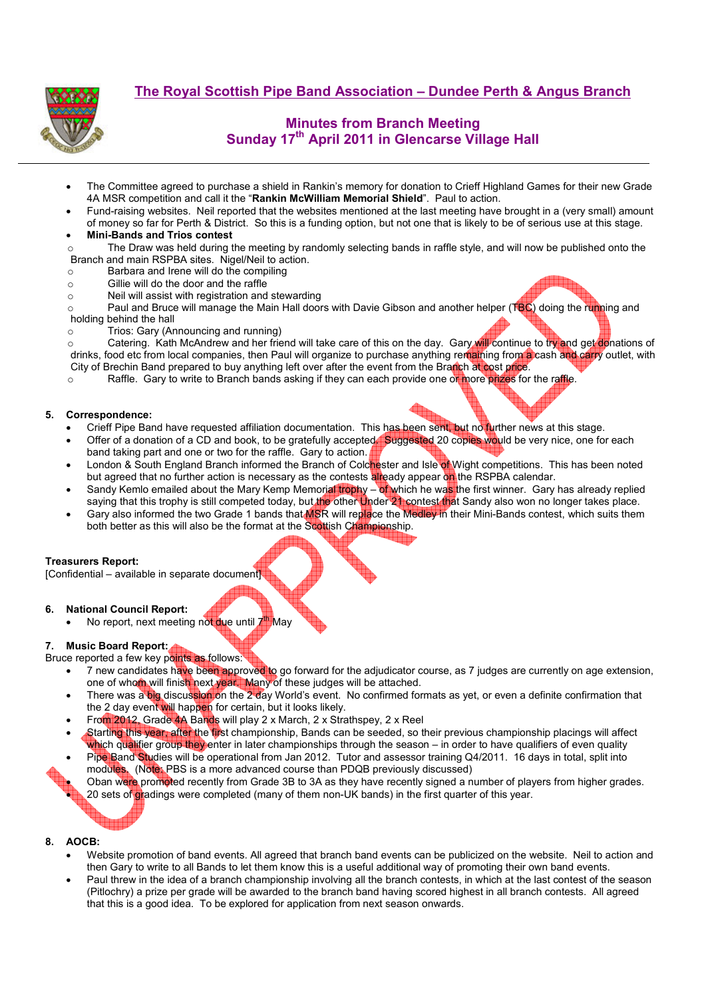

**The Royal Scottish Pipe Band Association – Dundee Perth & Angus Branch**

# **Minutes from Branch Meeting Sunday 17th April 2011 in Glencarse Village Hall**

- The Committee agreed to purchase a shield in Rankin's memory for donation to Crieff Highland Games for their new Grade 4A MSR competition and call it the "**Rankin McWilliam Memorial Shield**". Paul to action.
- Fund-raising websites. Neil reported that the websites mentioned at the last meeting have brought in a (very small) amount of money so far for Perth & District. So this is a funding option, but not one that is likely to be of serious use at this stage.
- **Mini-Bands and Trios contest**

 $\circ$  The Draw was held during the meeting by randomly selecting bands in raffle style, and will now be published onto the Branch and main RSPBA sites. Nigel/Neil to action.

- o Barbara and Irene will do the compiling
- o Gillie will do the door and the raffle
- o Neil will assist with registration and stewarding

 $\circ$  Paul and Bruce will manage the Main Hall doors with Davie Gibson and another helper (TBC) doing the running and holding behind the hall

o Trios: Gary (Announcing and running)

o Catering. Kath McAndrew and her friend will take care of this on the day. Gary will continue to try and get donations of drinks, food etc from local companies, then Paul will organize to purchase anything remaining from a cash and carry outlet, with City of Brechin Band prepared to buy anything left over after the event from the Branch at cost price.

 $\circ$  Raffle. Gary to write to Branch bands asking if they can each provide one or more prizes for the raffle.

#### **5. Correspondence:**

- Crieff Pipe Band have requested affiliation documentation. This has been sent, but no further news at this stage.
- Offer of a donation of a CD and book, to be gratefully accepted. Suggested 20 copies would be very nice, one for each band taking part and one or two for the raffle. Gary to action.
- London & South England Branch informed the Branch of Colchester and Isle of Wight competitions. This has been noted but agreed that no further action is necessary as the contests already appear on the RSPBA calendar.
- Sandy Kemlo emailed about the Mary Kemp Memorial trophy of which he was the first winner. Gary has already replied saying that this trophy is still competed today, but the other Under 21 contest that Sandy also won no longer takes place.
- Gary also informed the two Grade 1 bands that MSR will replace the Medley in their Mini-Bands contest, which suits them both better as this will also be the format at the Scottish Championship.

#### **Treasurers Report:**

[Confidential – available in separate document]

#### **6. National Council Report:**

No report, next meeting not due until 7<sup>th</sup> May

#### **7. Music Board Report:**

- Bruce reported a few key points as follows:
	- 7 new candidates have been approved to go forward for the adjudicator course, as 7 judges are currently on age extension, one of whom will finish next year. Many of these judges will be attached.
	- There was a big discussion on the 2 day World's event. No confirmed formats as yet, or even a definite confirmation that the 2 day event will happen for certain, but it looks likely.
	- From 2012, Grade 4A Bands will play 2 x March, 2 x Strathspey, 2 x Reel
	- Starting this year, after the first championship, Bands can be seeded, so their previous championship placings will affect which qualifier group they enter in later championships through the season – in order to have qualifiers of even quality
	- Pipe Band Studies will be operational from Jan 2012. Tutor and assessor training Q4/2011. 16 days in total, split into modules. (Note: PBS is a more advanced course than PDQB previously discussed)

Oban were promoted recently from Grade 3B to 3A as they have recently signed a number of players from higher grades. 20 sets of gradings were completed (many of them non-UK bands) in the first quarter of this year.



- Website promotion of band events. All agreed that branch band events can be publicized on the website. Neil to action and then Gary to write to all Bands to let them know this is a useful additional way of promoting their own band events.
- Paul threw in the idea of a branch championship involving all the branch contests, in which at the last contest of the season (Pitlochry) a prize per grade will be awarded to the branch band having scored highest in all branch contests. All agreed that this is a good idea. To be explored for application from next season onwards.